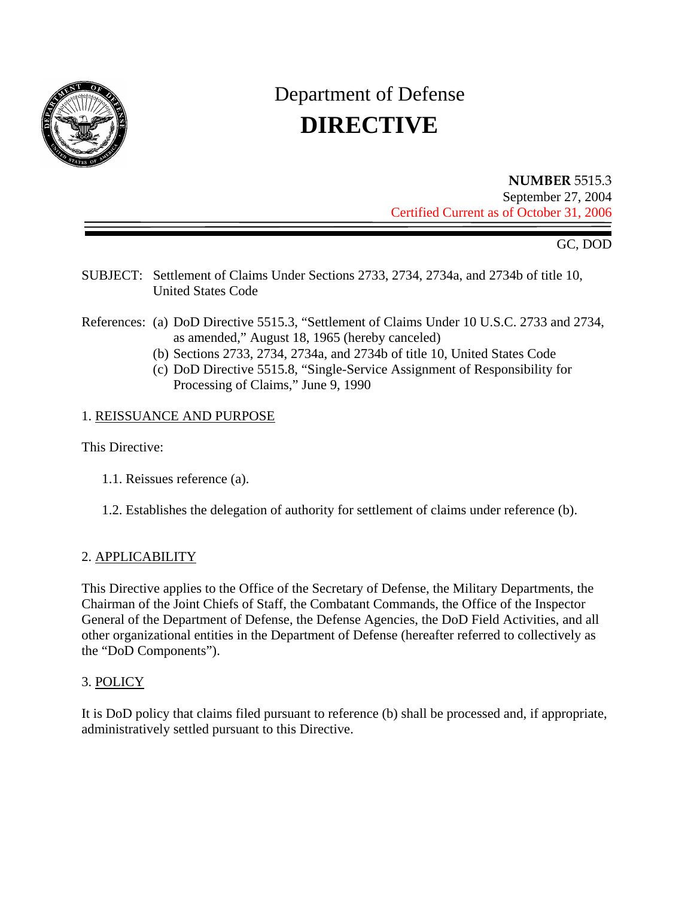

# Department of Defense **DIRECTIVE**

**NUMBER** 5515.3 September 27, 2004 Certified Current as of October 31, 2006

GC, DOD

- SUBJECT: Settlement of Claims Under Sections 2733, 2734, 2734a, and 2734b of title 10, United States Code
- References: (a) DoD Directive 5515.3, "Settlement of Claims Under 10 U.S.C. 2733 and 2734, as amended," August 18, 1965 (hereby canceled)
	- (b) Sections 2733, 2734, 2734a, and 2734b of title 10, United States Code
	- (c) DoD Directive 5515.8, "Single-Service Assignment of Responsibility for Processing of Claims," June 9, 1990

## 1. REISSUANCE AND PURPOSE

This Directive:

- 1.1. Reissues reference (a).
- 1.2. Establishes the delegation of authority for settlement of claims under reference (b).

### 2. APPLICABILITY

This Directive applies to the Office of the Secretary of Defense, the Military Departments, the Chairman of the Joint Chiefs of Staff, the Combatant Commands, the Office of the Inspector General of the Department of Defense, the Defense Agencies, the DoD Field Activities, and all other organizational entities in the Department of Defense (hereafter referred to collectively as the "DoD Components").

## 3. POLICY

It is DoD policy that claims filed pursuant to reference (b) shall be processed and, if appropriate, administratively settled pursuant to this Directive.